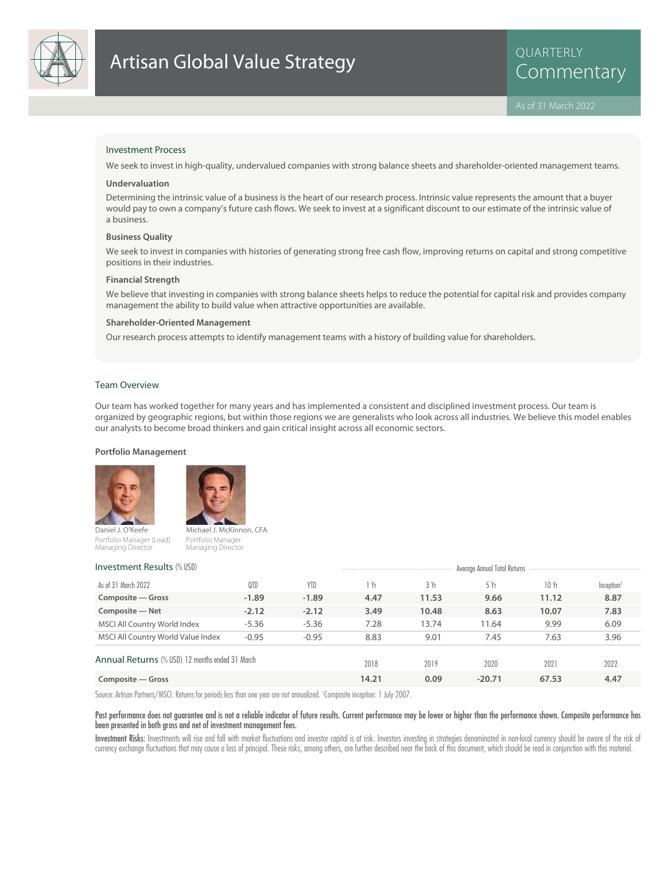

# Investment Process

We seek to invest in high-quality, undervalued companies with strong balance sheets and shareholder-oriented management teams.

#### **Undervaluation**

Determining the intrinsic value of a business is the heart of our research process. Intrinsic value represents the amount that a buyer would pay to own a company's future cash flows. We seek to invest at a significant discount to our estimate of the intrinsic value of a business.

#### **Business Quality**

We seek to invest in companies with histories of generating strong free cash flow, improving returns on capital and strong competitive positions in their industries.

#### **Financial Strength**

We believe that investing in companies with strong balance sheets helps to reduce the potential for capital risk and provides company management the ability to build value when attractive opportunities are available.

#### **Shareholder-Oriented Management**

Our research process attempts to identify management teams with a history of building value for shareholders.

### Team Overview

Our team has worked together for many years and has implemented a consistent and disciplined investment process. Our team is organized by geographic regions, but within those regions we are generalists who look across all industries. We believe this model enables our analysts to become broad thinkers and gain critical insight across all economic sectors.

#### **Portfolio Management**



Portfolio Manager (Lead) Managing Director



Portfolio Manager Managing Director

| <b>Investment Results (% USD)</b>               | Average Annual Total Returns |            |       |       |          |       |                        |
|-------------------------------------------------|------------------------------|------------|-------|-------|----------|-------|------------------------|
| As of 31 March 2022                             | 0TD                          | <b>YTD</b> | Yr    | 3 Yr  | 5Yr      | 10 Yr | Inception <sup>1</sup> |
| Composite – Gross                               | $-1.89$                      | $-1.89$    | 4.47  | 11.53 | 9.66     | 11.12 | 8.87                   |
| Composite - Net                                 | $-2.12$                      | $-2.12$    | 3.49  | 10.48 | 8.63     | 10.07 | 7.83                   |
| MSCI All Country World Index                    | $-5.36$                      | $-5.36$    | 7.28  | 13.74 | 11.64    | 9.99  | 6.09                   |
| MSCI All Country World Value Index              | $-0.95$                      | $-0.95$    | 8.83  | 9.01  | 7.45     | 7.63  | 3.96                   |
| Annual Returns (% USD) 12 months ended 31 March |                              |            | 2018  | 2019  | 2020     | 2021  | 2022                   |
| Composite – Gross                               |                              |            | 14.21 | 0.09  | $-20.71$ | 67.53 | 4.47                   |

Source: Artisan Partners/MSCI. Returns for periods less than one year are not annualized. <sup>1</sup> Composite inception: 1 July 2007.

### Past performance does not guarantee and is not a reliable indicator of future results. Current performance may be lower or higher than the performance shown. Composite performance has been presented in both gross and net of investment management fees.

Investment Risks: Investments will rise and fall with market fluctuations and investor capital is at risk. Investors investing in strategies denominated in non-local currency should be aware of the risk of currency exchange fluctuations that may cause a loss of principal. These risks, among others, are further described near the back of this document, which should be read in conjunction with this material.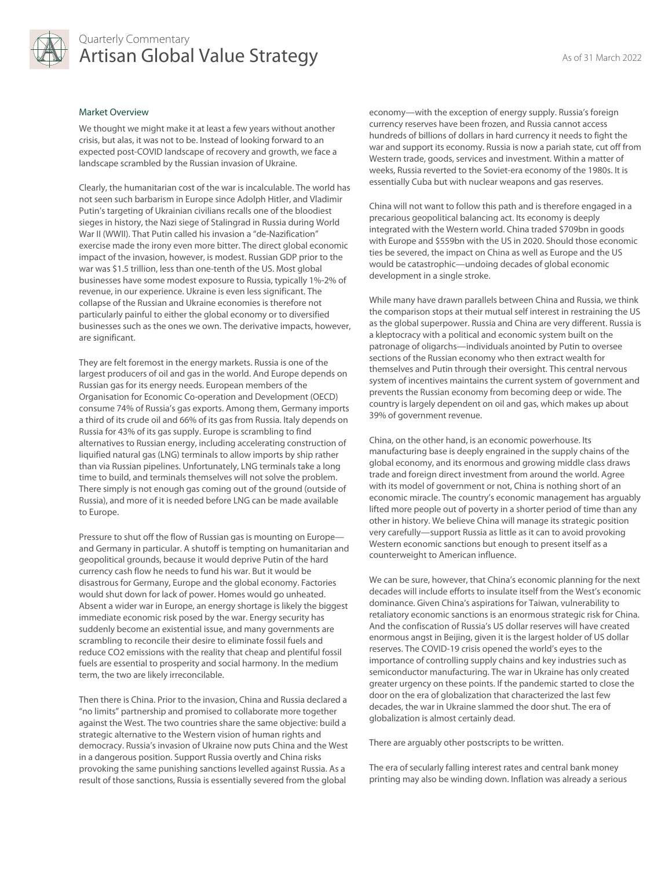

# Quarterly Commentary Artisan Global Value Strategy As of 31 March 2022

#### Market Overview

We thought we might make it at least a few years without another crisis, but alas, it was not to be. Instead of looking forward to an expected post-COVID landscape of recovery and growth, we face a landscape scrambled by the Russian invasion of Ukraine.

Clearly, the humanitarian cost of the war is incalculable. The world has not seen such barbarism in Europe since Adolph Hitler, and Vladimir Putin's targeting of Ukrainian civilians recalls one of the bloodiest sieges in history, the Nazi siege of Stalingrad in Russia during World War II (WWII). That Putin called his invasion a "de-Nazification" exercise made the irony even more bitter. The direct global economic impact of the invasion, however, is modest. Russian GDP prior to the war was \$1.5 trillion, less than one-tenth of the US. Most global businesses have some modest exposure to Russia, typically 1%-2% of revenue, in our experience. Ukraine is even less significant. The collapse of the Russian and Ukraine economies is therefore not particularly painful to either the global economy or to diversified businesses such as the ones we own. The derivative impacts, however, are significant.

They are felt foremost in the energy markets. Russia is one of the largest producers of oil and gas in the world. And Europe depends on Russian gas for its energy needs. European members of the Organisation for Economic Co-operation and Development (OECD) consume 74% of Russia's gas exports. Among them, Germany imports a third of its crude oil and 66% of its gas from Russia. Italy depends on Russia for 43% of its gas supply. Europe is scrambling to find alternatives to Russian energy, including accelerating construction of liquified natural gas (LNG) terminals to allow imports by ship rather than via Russian pipelines. Unfortunately, LNG terminals take a long time to build, and terminals themselves will not solve the problem. There simply is not enough gas coming out of the ground (outside of Russia), and more of it is needed before LNG can be made available to Europe.

Pressure to shut off the flow of Russian gas is mounting on Europe and Germany in particular. A shutoff is tempting on humanitarian and geopolitical grounds, because it would deprive Putin of the hard currency cash flow he needs to fund his war. But it would be disastrous for Germany, Europe and the global economy. Factories would shut down for lack of power. Homes would go unheated. Absent a wider war in Europe, an energy shortage is likely the biggest immediate economic risk posed by the war. Energy security has suddenly become an existential issue, and many governments are scrambling to reconcile their desire to eliminate fossil fuels and reduce CO2 emissions with the reality that cheap and plentiful fossil fuels are essential to prosperity and social harmony. In the medium term, the two are likely irreconcilable.

Then there is China. Prior to the invasion, China and Russia declared a "no limits" partnership and promised to collaborate more together against the West. The two countries share the same objective: build a strategic alternative to the Western vision of human rights and democracy. Russia's invasion of Ukraine now puts China and the West in a dangerous position. Support Russia overtly and China risks provoking the same punishing sanctions levelled against Russia. As a result of those sanctions, Russia is essentially severed from the global

economy—with the exception of energy supply. Russia's foreign currency reserves have been frozen, and Russia cannot access hundreds of billions of dollars in hard currency it needs to fight the war and support its economy. Russia is now a pariah state, cut off from Western trade, goods, services and investment. Within a matter of weeks, Russia reverted to the Soviet-era economy of the 1980s. It is essentially Cuba but with nuclear weapons and gas reserves.

China will not want to follow this path and is therefore engaged in a precarious geopolitical balancing act. Its economy is deeply integrated with the Western world. China traded \$709bn in goods with Europe and \$559bn with the US in 2020. Should those economic ties be severed, the impact on China as well as Europe and the US would be catastrophic—undoing decades of global economic development in a single stroke.

While many have drawn parallels between China and Russia, we think the comparison stops at their mutual self interest in restraining the US as the global superpower. Russia and China are very different. Russia is a kleptocracy with a political and economic system built on the patronage of oligarchs—individuals anointed by Putin to oversee sections of the Russian economy who then extract wealth for themselves and Putin through their oversight. This central nervous system of incentives maintains the current system of government and prevents the Russian economy from becoming deep or wide. The country is largely dependent on oil and gas, which makes up about 39% of government revenue.

China, on the other hand, is an economic powerhouse. Its manufacturing base is deeply engrained in the supply chains of the global economy, and its enormous and growing middle class draws trade and foreign direct investment from around the world. Agree with its model of government or not, China is nothing short of an economic miracle. The country's economic management has arguably lifted more people out of poverty in a shorter period of time than any other in history. We believe China will manage its strategic position very carefully—support Russia as little as it can to avoid provoking Western economic sanctions but enough to present itself as a counterweight to American influence.

We can be sure, however, that China's economic planning for the next decades will include efforts to insulate itself from the West's economic dominance. Given China's aspirations for Taiwan, vulnerability to retaliatory economic sanctions is an enormous strategic risk for China. And the confiscation of Russia's US dollar reserves will have created enormous angst in Beijing, given it is the largest holder of US dollar reserves. The COVID-19 crisis opened the world's eyes to the importance of controlling supply chains and key industries such as semiconductor manufacturing. The war in Ukraine has only created greater urgency on these points. If the pandemic started to close the door on the era of globalization that characterized the last few decades, the war in Ukraine slammed the door shut. The era of globalization is almost certainly dead.

There are arguably other postscripts to be written.

The era of secularly falling interest rates and central bank money printing may also be winding down. Inflation was already a serious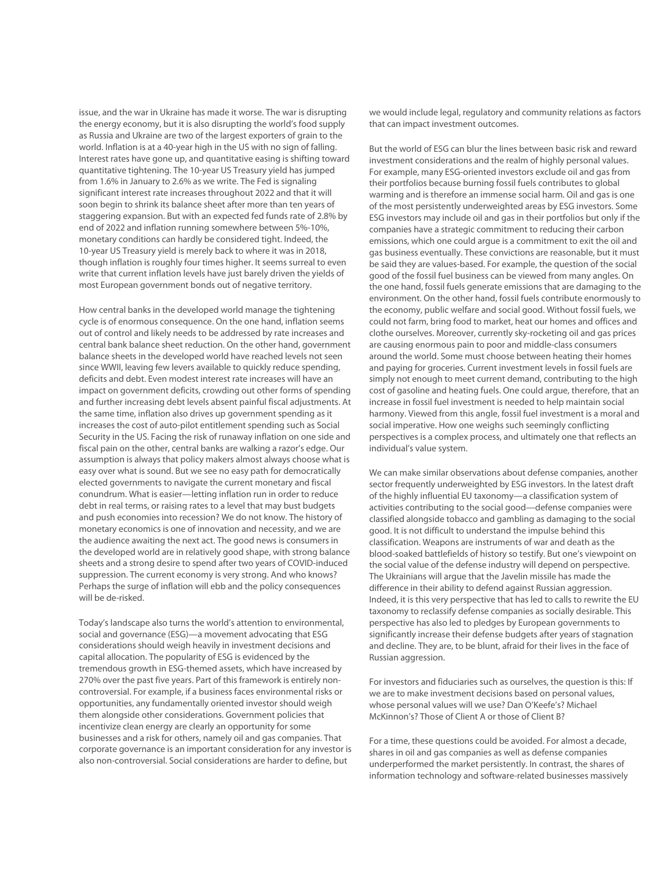issue, and the war in Ukraine has made it worse. The war is disrupting the energy economy, but it is also disrupting the world's food supply as Russia and Ukraine are two of the largest exporters of grain to the world. Inflation is at a 40-year high in the US with no sign of falling. Interest rates have gone up, and quantitative easing is shifting toward quantitative tightening. The 10-year US Treasury yield has jumped from 1.6% in January to 2.6% as we write. The Fed is signaling significant interest rate increases throughout 2022 and that it will soon begin to shrink its balance sheet after more than ten years of staggering expansion. But with an expected fed funds rate of 2.8% by end of 2022 and inflation running somewhere between 5%-10%, monetary conditions can hardly be considered tight. Indeed, the 10-year US Treasury yield is merely back to where it was in 2018, though inflation is roughly four times higher. It seems surreal to even write that current inflation levels have just barely driven the yields of most European government bonds out of negative territory.

How central banks in the developed world manage the tightening cycle is of enormous consequence. On the one hand, inflation seems out of control and likely needs to be addressed by rate increases and central bank balance sheet reduction. On the other hand, government balance sheets in the developed world have reached levels not seen since WWII, leaving few levers available to quickly reduce spending, deficits and debt. Even modest interest rate increases will have an impact on government deficits, crowding out other forms of spending and further increasing debt levels absent painful fiscal adjustments. At the same time, inflation also drives up government spending as it increases the cost of auto-pilot entitlement spending such as Social Security in the US. Facing the risk of runaway inflation on one side and fiscal pain on the other, central banks are walking a razor's edge. Our assumption is always that policy makers almost always choose what is easy over what is sound. But we see no easy path for democratically elected governments to navigate the current monetary and fiscal conundrum. What is easier—letting inflation run in order to reduce debt in real terms, or raising rates to a level that may bust budgets and push economies into recession? We do not know. The history of monetary economics is one of innovation and necessity, and we are the audience awaiting the next act. The good news is consumers in the developed world are in relatively good shape, with strong balance sheets and a strong desire to spend after two years of COVID-induced suppression. The current economy is very strong. And who knows? Perhaps the surge of inflation will ebb and the policy consequences will be de-risked.

Today's landscape also turns the world's attention to environmental, social and governance (ESG)—a movement advocating that ESG considerations should weigh heavily in investment decisions and capital allocation. The popularity of ESG is evidenced by the tremendous growth in ESG-themed assets, which have increased by 270% over the past five years. Part of this framework is entirely noncontroversial. For example, if a business faces environmental risks or opportunities, any fundamentally oriented investor should weigh them alongside other considerations. Government policies that incentivize clean energy are clearly an opportunity for some businesses and a risk for others, namely oil and gas companies. That corporate governance is an important consideration for any investor is also non-controversial. Social considerations are harder to define, but

we would include legal, regulatory and community relations as factors that can impact investment outcomes.

But the world of ESG can blur the lines between basic risk and reward investment considerations and the realm of highly personal values. For example, many ESG-oriented investors exclude oil and gas from their portfolios because burning fossil fuels contributes to global warming and is therefore an immense social harm. Oil and gas is one of the most persistently underweighted areas by ESG investors. Some ESG investors may include oil and gas in their portfolios but only if the companies have a strategic commitment to reducing their carbon emissions, which one could argue is a commitment to exit the oil and gas business eventually. These convictions are reasonable, but it must be said they are values-based. For example, the question of the social good of the fossil fuel business can be viewed from many angles. On the one hand, fossil fuels generate emissions that are damaging to the environment. On the other hand, fossil fuels contribute enormously to the economy, public welfare and social good. Without fossil fuels, we could not farm, bring food to market, heat our homes and offices and clothe ourselves. Moreover, currently sky-rocketing oil and gas prices are causing enormous pain to poor and middle-class consumers around the world. Some must choose between heating their homes and paying for groceries. Current investment levels in fossil fuels are simply not enough to meet current demand, contributing to the high cost of gasoline and heating fuels. One could argue, therefore, that an increase in fossil fuel investment is needed to help maintain social harmony. Viewed from this angle, fossil fuel investment is a moral and social imperative. How one weighs such seemingly conflicting perspectives is a complex process, and ultimately one that reflects an individual's value system.

We can make similar observations about defense companies, another sector frequently underweighted by ESG investors. In the latest draft of the highly influential EU taxonomy—a classification system of activities contributing to the social good—defense companies were classified alongside tobacco and gambling as damaging to the social good. It is not difficult to understand the impulse behind this classification. Weapons are instruments of war and death as the blood-soaked battlefields of history so testify. But one's viewpoint on the social value of the defense industry will depend on perspective. The Ukrainians will argue that the Javelin missile has made the difference in their ability to defend against Russian aggression. Indeed, it is this very perspective that has led to calls to rewrite the EU taxonomy to reclassify defense companies as socially desirable. This perspective has also led to pledges by European governments to significantly increase their defense budgets after years of stagnation and decline. They are, to be blunt, afraid for their lives in the face of Russian aggression.

For investors and fiduciaries such as ourselves, the question is this: If we are to make investment decisions based on personal values, whose personal values will we use? Dan O'Keefe's? Michael McKinnon's? Those of Client A or those of Client B?

For a time, these questions could be avoided. For almost a decade, shares in oil and gas companies as well as defense companies underperformed the market persistently. In contrast, the shares of information technology and software-related businesses massively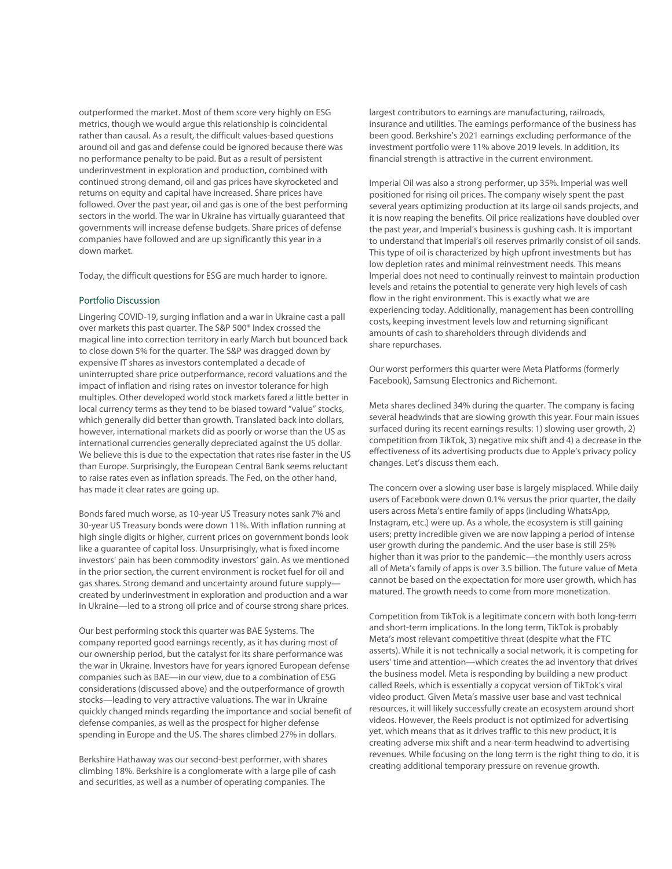outperformed the market. Most of them score very highly on ESG metrics, though we would argue this relationship is coincidental rather than causal. As a result, the difficult values-based questions around oil and gas and defense could be ignored because there was no performance penalty to be paid. But as a result of persistent underinvestment in exploration and production, combined with continued strong demand, oil and gas prices have skyrocketed and returns on equity and capital have increased. Share prices have followed. Over the past year, oil and gas is one of the best performing sectors in the world. The war in Ukraine has virtually guaranteed that governments will increase defense budgets. Share prices of defense companies have followed and are up significantly this year in a down market.

Today, the difficult questions for ESG are much harder to ignore.

## Portfolio Discussion

Lingering COVID-19, surging inflation and a war in Ukraine cast a pall over markets this past quarter. The S&P 500® Index crossed the magical line into correction territory in early March but bounced back to close down 5% for the quarter. The S&P was dragged down by expensive IT shares as investors contemplated a decade of uninterrupted share price outperformance, record valuations and the impact of inflation and rising rates on investor tolerance for high multiples. Other developed world stock markets fared a little better in local currency terms as they tend to be biased toward "value" stocks, which generally did better than growth. Translated back into dollars, however, international markets did as poorly or worse than the US as international currencies generally depreciated against the US dollar. We believe this is due to the expectation that rates rise faster in the US than Europe. Surprisingly, the European Central Bank seems reluctant to raise rates even as inflation spreads. The Fed, on the other hand, has made it clear rates are going up.

Bonds fared much worse, as 10-year US Treasury notes sank 7% and 30-year US Treasury bonds were down 11%. With inflation running at high single digits or higher, current prices on government bonds look like a guarantee of capital loss. Unsurprisingly, what is fixed income investors' pain has been commodity investors' gain. As we mentioned in the prior section, the current environment is rocket fuel for oil and gas shares. Strong demand and uncertainty around future supply created by underinvestment in exploration and production and a war in Ukraine—led to a strong oil price and of course strong share prices.

Our best performing stock this quarter was BAE Systems. The company reported good earnings recently, as it has during most of our ownership period, but the catalyst for its share performance was the war in Ukraine. Investors have for years ignored European defense companies such as BAE—in our view, due to a combination of ESG considerations (discussed above) and the outperformance of growth stocks—leading to very attractive valuations. The war in Ukraine quickly changed minds regarding the importance and social benefit of defense companies, as well as the prospect for higher defense spending in Europe and the US. The shares climbed 27% in dollars.

Berkshire Hathaway was our second-best performer, with shares climbing 18%. Berkshire is a conglomerate with a large pile of cash and securities, as well as a number of operating companies. The

largest contributors to earnings are manufacturing, railroads, insurance and utilities. The earnings performance of the business has been good. Berkshire's 2021 earnings excluding performance of the investment portfolio were 11% above 2019 levels. In addition, its financial strength is attractive in the current environment.

Imperial Oil was also a strong performer, up 35%. Imperial was well positioned for rising oil prices. The company wisely spent the past several years optimizing production at its large oil sands projects, and it is now reaping the benefits. Oil price realizations have doubled over the past year, and Imperial's business is gushing cash. It is important to understand that Imperial's oil reserves primarily consist of oil sands. This type of oil is characterized by high upfront investments but has low depletion rates and minimal reinvestment needs. This means Imperial does not need to continually reinvest to maintain production levels and retains the potential to generate very high levels of cash flow in the right environment. This is exactly what we are experiencing today. Additionally, management has been controlling costs, keeping investment levels low and returning significant amounts of cash to shareholders through dividends and share repurchases.

Our worst performers this quarter were Meta Platforms (formerly Facebook), Samsung Electronics and Richemont.

Meta shares declined 34% during the quarter. The company is facing several headwinds that are slowing growth this year. Four main issues surfaced during its recent earnings results: 1) slowing user growth, 2) competition from TikTok, 3) negative mix shift and 4) a decrease in the effectiveness of its advertising products due to Apple's privacy policy changes. Let's discuss them each.

The concern over a slowing user base is largely misplaced. While daily users of Facebook were down 0.1% versus the prior quarter, the daily users across Meta's entire family of apps (including WhatsApp, Instagram, etc.) were up. As a whole, the ecosystem is still gaining users; pretty incredible given we are now lapping a period of intense user growth during the pandemic. And the user base is still 25% higher than it was prior to the pandemic—the monthly users across all of Meta's family of apps is over 3.5 billion. The future value of Meta cannot be based on the expectation for more user growth, which has matured. The growth needs to come from more monetization.

Competition from TikTok is a legitimate concern with both long-term and short-term implications. In the long term, TikTok is probably Meta's most relevant competitive threat (despite what the FTC asserts). While it is not technically a social network, it is competing for users' time and attention—which creates the ad inventory that drives the business model. Meta is responding by building a new product called Reels, which is essentially a copycat version of TikTok's viral video product. Given Meta's massive user base and vast technical resources, it will likely successfully create an ecosystem around short videos. However, the Reels product is not optimized for advertising yet, which means that as it drives traffic to this new product, it is creating adverse mix shift and a near-term headwind to advertising revenues. While focusing on the long term is the right thing to do, it is creating additional temporary pressure on revenue growth.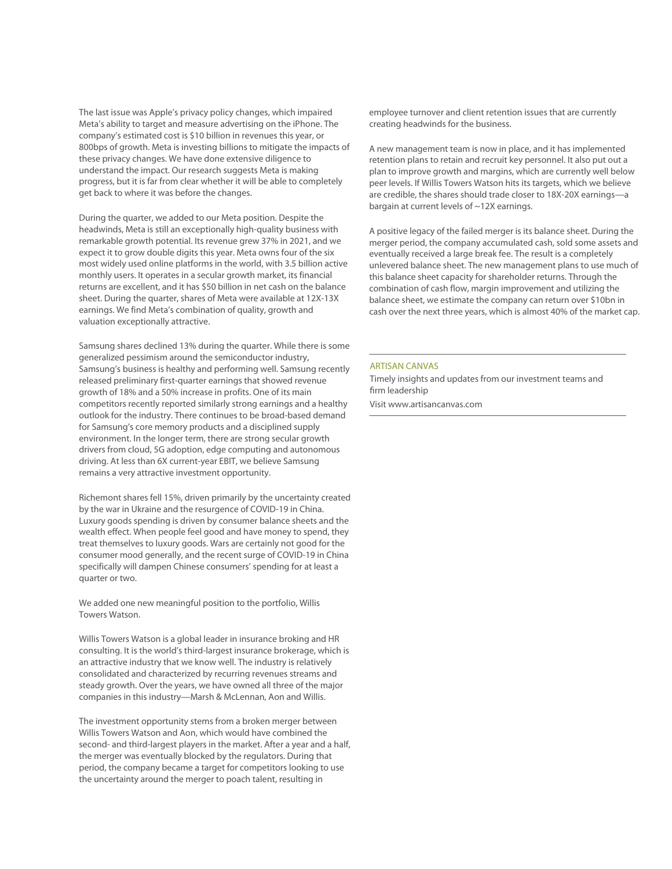The last issue was Apple's privacy policy changes, which impaired Meta's ability to target and measure advertising on the iPhone. The company's estimated cost is \$10 billion in revenues this year, or 800bps of growth. Meta is investing billions to mitigate the impacts of these privacy changes. We have done extensive diligence to understand the impact. Our research suggests Meta is making progress, but it is far from clear whether it will be able to completely get back to where it was before the changes.

During the quarter, we added to our Meta position. Despite the headwinds, Meta is still an exceptionally high-quality business with remarkable growth potential. Its revenue grew 37% in 2021, and we expect it to grow double digits this year. Meta owns four of the six most widely used online platforms in the world, with 3.5 billion active monthly users. It operates in a secular growth market, its financial returns are excellent, and it has \$50 billion in net cash on the balance sheet. During the quarter, shares of Meta were available at 12X-13X earnings. We find Meta's combination of quality, growth and valuation exceptionally attractive.

Samsung shares declined 13% during the quarter. While there is some generalized pessimism around the semiconductor industry, Samsung's business is healthy and performing well. Samsung recently released preliminary first-quarter earnings that showed revenue growth of 18% and a 50% increase in profits. One of its main competitors recently reported similarly strong earnings and a healthy outlook for the industry. There continues to be broad-based demand for Samsung's core memory products and a disciplined supply environment. In the longer term, there are strong secular growth drivers from cloud, 5G adoption, edge computing and autonomous driving. At less than 6X current-year EBIT, we believe Samsung remains a very attractive investment opportunity.

Richemont shares fell 15%, driven primarily by the uncertainty created by the war in Ukraine and the resurgence of COVID-19 in China. Luxury goods spending is driven by consumer balance sheets and the wealth effect. When people feel good and have money to spend, they treat themselves to luxury goods. Wars are certainly not good for the consumer mood generally, and the recent surge of COVID-19 in China specifically will dampen Chinese consumers' spending for at least a quarter or two.

We added one new meaningful position to the portfolio, Willis Towers Watson.

Willis Towers Watson is a global leader in insurance broking and HR consulting. It is the world's third-largest insurance brokerage, which is an attractive industry that we know well. The industry is relatively consolidated and characterized by recurring revenues streams and steady growth. Over the years, we have owned all three of the major companies in this industry—Marsh & McLennan, Aon and Willis.

The investment opportunity stems from a broken merger between Willis Towers Watson and Aon, which would have combined the second- and third-largest players in the market. After a year and a half, the merger was eventually blocked by the regulators. During that period, the company became a target for competitors looking to use the uncertainty around the merger to poach talent, resulting in

employee turnover and client retention issues that are currently creating headwinds for the business.

A new management team is now in place, and it has implemented retention plans to retain and recruit key personnel. It also put out a plan to improve growth and margins, which are currently well below peer levels. If Willis Towers Watson hits its targets, which we believe are credible, the shares should trade closer to 18X-20X earnings—a bargain at current levels of ~12X earnings.

A positive legacy of the failed merger is its balance sheet. During the merger period, the company accumulated cash, sold some assets and eventually received a large break fee. The result is a completely unlevered balance sheet. The new management plans to use much of this balance sheet capacity for shareholder returns. Through the combination of cash flow, margin improvement and utilizing the balance sheet, we estimate the company can return over \$10bn in cash over the next three years, which is almost 40% of the market cap.

#### ARTISAN CANVAS

Timely insights and updates from our investment teams and firm leadership Visit www.artisancanvas.com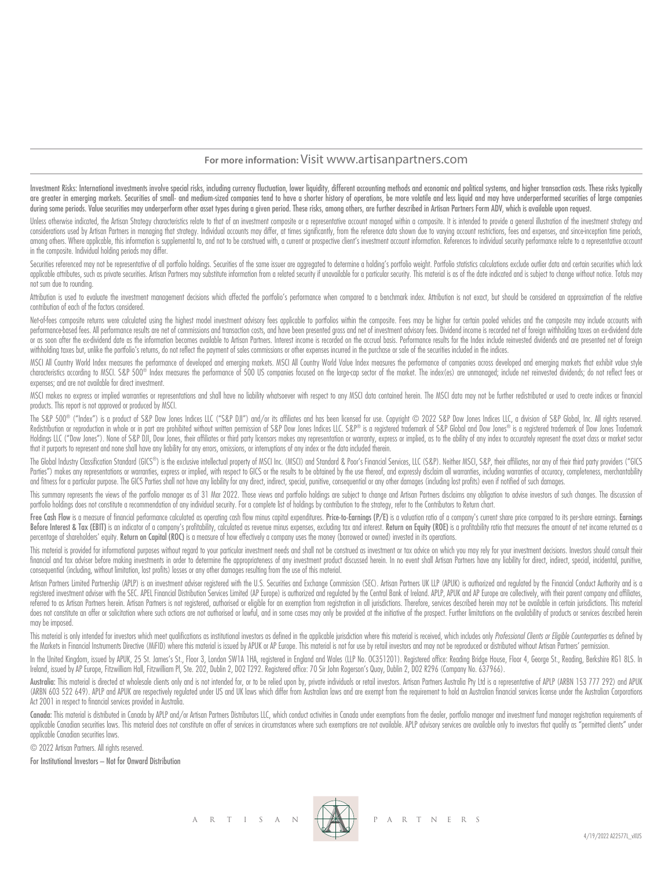# **For more information:** Visit www.artisanpartners.com

Investment Risks: International investments involve special risks, including currency fluctuation, lower liquidity, different accounting methods and economic and political systems, and higher transaction costs. These risks are greater in emerging markets. Securities of small- and medium-sized companies tend to have a shorter history of operations, be more volatile and less liquid and may have underperformed securities of large companies during some periods. Value securities may underperform other asset types during a given period. These risks, among others, are further described in Artisan Partners Form ADV, which is available upon request.

Unless otherwise indicated, the Artisan Strateav characteristics relate to that of an investment composite or a representative account mangaed within a composite. It is intended to provide a general illustration of the inv considerations used by Artisan Partners in managing that strategy. Individual accounts may differ, at times significantly, from the reference data shown due to varying account restrictions, fees and expenses, and since inc among others. Where applicable, this information is supplemental to, and not to be construed with, a current or prospective client's investment account information. References to individual security performance relate to a in the composite. Individual holding periods may differ.

Securities referenced may not be representative of all portfolio holdings. Securities of the same issuer are aggregated to determine a holding's portfolio weight. Portfolio statistics calculations exclude outlier data and applicable attributes, such as private securities. Artisan Partners may substitute information from a related security if unavailable for a particular security. This material is as of the date indicated and is subject to c not sum due to rounding.

Attribution is used to evaluate the investment management decisions which affected the portfolio's performance when compared to a benchmark index. Attribution is not exact, but should be considered an approximation of the contribution of each of the factors considered.

Net-of-fees composite returns were calculated using the highest model investment advisory fees applicable to portfolios within the composite. Fees may be higher for certain pooled vehicles and the composite may include acc performance-based fees. All performance results are net of commissions and transaction costs, and have been presented gross and net of investment advisory fees. Dividend income is recorded net of foreign withholding taxes or as soon after the ex-dividend date as the information becomes available to Artisan Partners. Interest income is recorded on the accrual basis. Performance results for the Index include reinvested dividends and are prese withholding taxes but, unlike the portfolio's returns, do not reflect the payment of sales commissions or other expenses incurred in the purchase or sale of the securities included in the indices.

MSCI All Country World Index measures the performance of developed and emerging markets. MSCI All Country World Value Index measures the performance of companies across developed and emerging markets that exhibit value sty characteristics according to MSCl. S&P 500® Index measures the performance of 500 US companies focused on the large-cap sector of the market. The index(es) are unmanaged; include net reinvested dividends; do not reflect fe expenses; and are not available for direct investment.

MSCI makes no express or implied warranties or representations and shall have no liability whatsoever with respect to any MSCI data contained herein. The MSCI data may not be further redistributed or used to create indices products. This report is not approved or produced by MSCI.

The S&P 500® ("Index") is a product of S&P Dow Jones Indices LLC ("S&P DJI") and/or its affiliates and has been licensed for use. Copyright © 2022 S&P Dow Jones Indices LLC, a division of S&P Global, Inc. All rights reserv Redistribution or reproduction in whole or in part are prohibited without written permission of S&P Dow Jones Indices LLC. S&P® is a registered trademark of S&P Global and Dow Jones® is a registered trademark of Dow Jones Holdings LLC ("Dow Jones"). None of S&P DJI, Dow Jones, their offiliates or third party licensors makes any representation or warranty, express or implied, as to the ability of any index to accurately represent the asset c that it purports to represent and none shall have any liability for any errors, omissions, or interruptions of any index or the data included therein.

The Global Industry Classification Standard (GICS®) is the exclusive intellectual property of MSCI Inc. (MSCI) and Standard & Poor's Financial Services, LLC (S&P). Neither MSCI, S&P, their affiliates, nor any of their thir Parties") makes any representations or warranties, express or implied, with respect to GICS or the results to be obtained by the use thereof, and expressly disclaim all warranties, including warranties of accuracy, complet and fitness for a particular purpose. The GICS Parties shall not have any liability for any direct, indirect, special, punitive, consequential or any other damages (including lost profits) even if notified of such damages.

This summary represents the views of the portfolio manager as of 31 Mar 2022. Those views and portfolio holdings are subject to change and Artisan Partners disclaims any obligation to advise investors of such changes. The portfolio holdings does not constitute a recommendation of any individual security. For a complete list of holdings by contribution to the strategy, refer to the Contributors to Return chart.

Free Cash Flow is a measure of financial performance calculated as operating cash flow minus capital expenditures. Price-to-Earnings (P/E) is a valuation ratio of a company's current share price compared to its per-share e Before Interest & Tax (EBIT) is an indicator of a company's profitability, calculated as revenue minus expenses, excluding tax and interest. Return on Eauity (ROE) is a profitability ratio that measures the amount of net i percentage of shareholders' equity. Return on Capital (ROC) is a measure of how effectively a company uses the money (borrowed or owned) invested in its operations.

This material is provided for informational purposes without regard to your particular investment needs and shall not be construed as investment or tax advice on which you may rely for your investment decisions. Investors financial and tax adviser before making investments in order to determine the appropriateness of any investment product discussed herein. In no event shall Artisan Partners have any liability for direct, indirect, special, consequential (including, without limitation, lost profits) losses or any other damages resulting from the use of this material.

Artisan Partners Limited Partnership (APLP) is an investment adviser registered with the U.S. Securities and Exchange Commission (SEC). Artisan Partners UK LLP (APUK) is authorized and regulated by the Financial Conduct Au registered investment adviser with the SEC. APEL Financial Distribution Services Limited (AP Europe) is authorized and regulated by the Central Bank of Ireland. APLP, APUK and AP Europe are collectively, with their parent referred to as Artisan Partners herein. Artisan Partners is not registered, authorised or eligible for an exemption from registration in all jurisdictions. Therefore, services described herein may not be available in certa does not constitute an offer or solicitation where such actions are not authorised or lawful, and in some cases may only be provided at the initiative of the prospect. Further limitations on the availability of products or may be imposed.

This material is only intended for investors which meet qualifications as institutional investors as defined in the applicable jurisdiction where this material is received, which includes only Professional Clients or Eligi the Markets in Financial Instruments Directive (MiFID) where this material is issued by APUK or AP Europe. This material is not for use by retail investors and may not be reproduced or distributed without Artisan Partners'

In the United Kingdom, issued by APUK, 25 St. James's St., Floor 3, London SW1A 1HA, registered in England and Wales (LLP No. OC351201). Registered office: Reading Bridge House, Floor 4, George St., Reading, Berkshire RG1 Ireland, issued by AP Europe, Fitzwilliam Hall, Fitzwilliam Pl, Ste. 202, Dublin 2, D02 T292. Registered office: 70 Sir John Rogerson's Quay, Dublin 2, D02 R296 (Company No. 637966).

Australia: This material is directed at wholesale clients only and is not intended for, or to be relied upon by, private individuals or retail investors. Artisan Partnes Australia Pty Ltd is a representative of APLP (ARBN (ARBN 603 522 649). APLP and APUK are respectively regulated under US and UK laws which differ from Australian laws and are exempt from the requirement to hold an Australian financial services license under the Australian Act 2001 in respect to financial services provided in Australia.

Canada: This material is distributed in Canada by APLP and/or Artisan Partners Distributors LLC, which conduct activities in Canada under exemptions from the dealer, portfolio manager and investment fund manager registrati applicable Canadian securities laws. This material does not constitute an offer of services in circumstances where such exemptions are not available. APLP advisory services are available only to investors that quality as " applicable Canadian securities laws.

© 2022 Artisan Partners. All rights reserved.

For Institutional Investors – Not for Onward Distribution